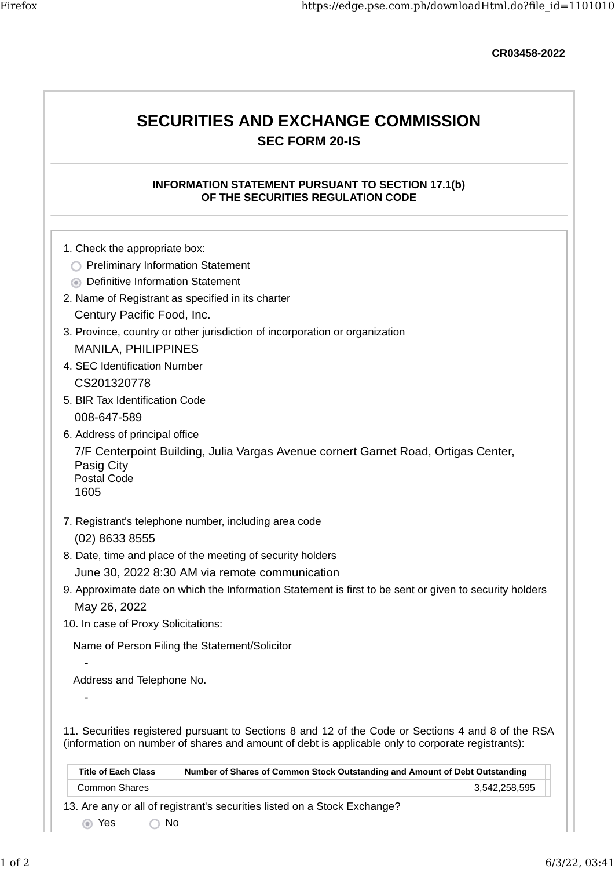CR03458-2022

# SECURITIES AND EXCHANGE COMMISSION SEC FORM 20-IS

### INFORMATION STATEMENT PURSUANT TO SECTION 17.1(b) OF THE SECURITIES REGULATION CODE

- 1. Check the appropriate box:
	- **C** Preliminary Information Statement
	- **O** Definitive Information Statement
- 2. Name of Registrant as specified in its charter Century Pacific Food, Inc.
- 3. Province, country or other jurisdiction of incorporation or organization MANILA, PHILIPPINES
- 4. SEC Identification Number CS201320778
- 5. BIR Tax Identification Code 008-647-589
- 6. Address of principal office

7/F Centerpoint Building, Julia Vargas Avenue cornert Garnet Road, Ortigas Center, Pasig City Postal Code

1605

-

-

- 7. Registrant's telephone number, including area code (02) 8633 8555
- 8. Date, time and place of the meeting of security holders June 30, 2022 8:30 AM via remote communication
- 9. Approximate date on which the Information Statement is first to be sent or given to security holders May 26, 2022
- 10. In case of Proxy Solicitations:

Name of Person Filing the Statement/Solicitor

Address and Telephone No.

11. Securities registered pursuant to Sections 8 and 12 of the Code or Sections 4 and 8 of the RSA (information on number of shares and amount of debt is applicable only to corporate registrants):

|                                                                           | <b>Title of Each Class</b> | Number of Shares of Common Stock Outstanding and Amount of Debt Outstanding |  |
|---------------------------------------------------------------------------|----------------------------|-----------------------------------------------------------------------------|--|
|                                                                           | <b>Common Shares</b>       | 3.542.258.595                                                               |  |
| 13. Are any or all of registrant's securities listed on a Stock Exchange? |                            |                                                                             |  |

Yes No